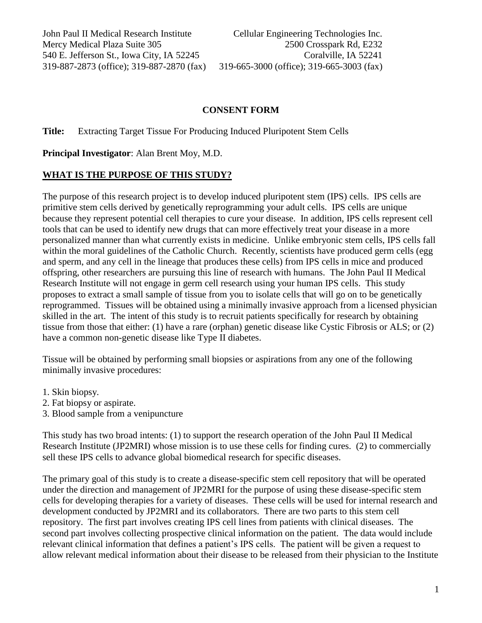### **CONSENT FORM**

**Title:** Extracting Target Tissue For Producing Induced Pluripotent Stem Cells

**Principal Investigator**: Alan Brent Moy, M.D.

### **WHAT IS THE PURPOSE OF THIS STUDY?**

The purpose of this research project is to develop induced pluripotent stem (IPS) cells. IPS cells are primitive stem cells derived by genetically reprogramming your adult cells. IPS cells are unique because they represent potential cell therapies to cure your disease. In addition, IPS cells represent cell tools that can be used to identify new drugs that can more effectively treat your disease in a more personalized manner than what currently exists in medicine. Unlike embryonic stem cells, IPS cells fall within the moral guidelines of the Catholic Church. Recently, scientists have produced germ cells (egg) and sperm, and any cell in the lineage that produces these cells) from IPS cells in mice and produced offspring, other researchers are pursuing this line of research with humans. The John Paul II Medical Research Institute will not engage in germ cell research using your human IPS cells. This study proposes to extract a small sample of tissue from you to isolate cells that will go on to be genetically reprogrammed. Tissues will be obtained using a minimally invasive approach from a licensed physician skilled in the art. The intent of this study is to recruit patients specifically for research by obtaining tissue from those that either: (1) have a rare (orphan) genetic disease like Cystic Fibrosis or ALS; or (2) have a common non-genetic disease like Type II diabetes.

Tissue will be obtained by performing small biopsies or aspirations from any one of the following minimally invasive procedures:

- 1. Skin biopsy.
- 2. Fat biopsy or aspirate.
- 3. Blood sample from a venipuncture

This study has two broad intents: (1) to support the research operation of the John Paul II Medical Research Institute (JP2MRI) whose mission is to use these cells for finding cures. (2) to commercially sell these IPS cells to advance global biomedical research for specific diseases.

The primary goal of this study is to create a disease-specific stem cell repository that will be operated under the direction and management of JP2MRI for the purpose of using these disease-specific stem cells for developing therapies for a variety of diseases. These cells will be used for internal research and development conducted by JP2MRI and its collaborators. There are two parts to this stem cell repository. The first part involves creating IPS cell lines from patients with clinical diseases. The second part involves collecting prospective clinical information on the patient. The data would include relevant clinical information that defines a patient's IPS cells. The patient will be given a request to allow relevant medical information about their disease to be released from their physician to the Institute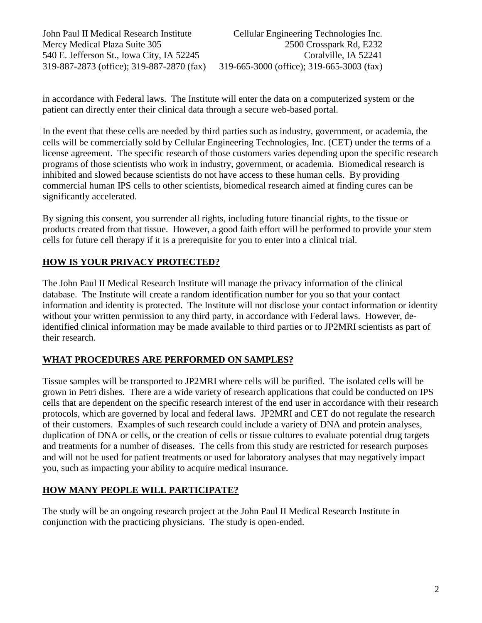in accordance with Federal laws. The Institute will enter the data on a computerized system or the patient can directly enter their clinical data through a secure web-based portal.

In the event that these cells are needed by third parties such as industry, government, or academia, the cells will be commercially sold by Cellular Engineering Technologies, Inc. (CET) under the terms of a license agreement. The specific research of those customers varies depending upon the specific research programs of those scientists who work in industry, government, or academia. Biomedical research is inhibited and slowed because scientists do not have access to these human cells. By providing commercial human IPS cells to other scientists, biomedical research aimed at finding cures can be significantly accelerated.

By signing this consent, you surrender all rights, including future financial rights, to the tissue or products created from that tissue. However, a good faith effort will be performed to provide your stem cells for future cell therapy if it is a prerequisite for you to enter into a clinical trial.

# **HOW IS YOUR PRIVACY PROTECTED?**

The John Paul II Medical Research Institute will manage the privacy information of the clinical database. The Institute will create a random identification number for you so that your contact information and identity is protected. The Institute will not disclose your contact information or identity without your written permission to any third party, in accordance with Federal laws. However, deidentified clinical information may be made available to third parties or to JP2MRI scientists as part of their research.

# **WHAT PROCEDURES ARE PERFORMED ON SAMPLES?**

Tissue samples will be transported to JP2MRI where cells will be purified. The isolated cells will be grown in Petri dishes. There are a wide variety of research applications that could be conducted on IPS cells that are dependent on the specific research interest of the end user in accordance with their research protocols, which are governed by local and federal laws. JP2MRI and CET do not regulate the research of their customers. Examples of such research could include a variety of DNA and protein analyses, duplication of DNA or cells, or the creation of cells or tissue cultures to evaluate potential drug targets and treatments for a number of diseases. The cells from this study are restricted for research purposes and will not be used for patient treatments or used for laboratory analyses that may negatively impact you, such as impacting your ability to acquire medical insurance.

# **HOW MANY PEOPLE WILL PARTICIPATE?**

The study will be an ongoing research project at the John Paul II Medical Research Institute in conjunction with the practicing physicians. The study is open-ended.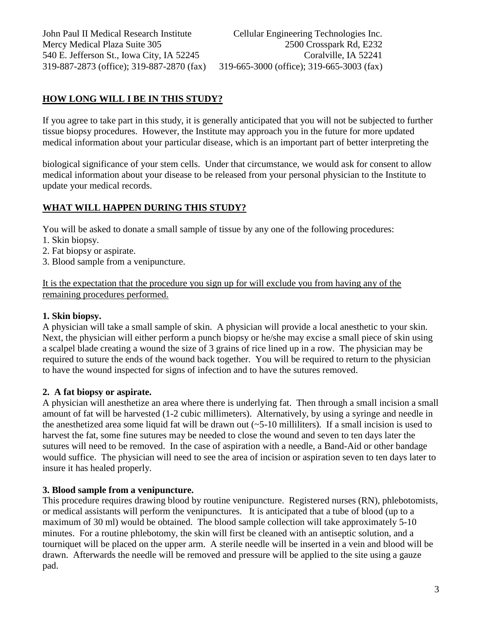## **HOW LONG WILL I BE IN THIS STUDY?**

If you agree to take part in this study, it is generally anticipated that you will not be subjected to further tissue biopsy procedures. However, the Institute may approach you in the future for more updated medical information about your particular disease, which is an important part of better interpreting the

biological significance of your stem cells. Under that circumstance, we would ask for consent to allow medical information about your disease to be released from your personal physician to the Institute to update your medical records.

### **WHAT WILL HAPPEN DURING THIS STUDY?**

You will be asked to donate a small sample of tissue by any one of the following procedures:

- 1. Skin biopsy.
- 2. Fat biopsy or aspirate.
- 3. Blood sample from a venipuncture.

It is the expectation that the procedure you sign up for will exclude you from having any of the remaining procedures performed.

#### **1. Skin biopsy.**

A physician will take a small sample of skin. A physician will provide a local anesthetic to your skin. Next, the physician will either perform a punch biopsy or he/she may excise a small piece of skin using a scalpel blade creating a wound the size of 3 grains of rice lined up in a row. The physician may be required to suture the ends of the wound back together. You will be required to return to the physician to have the wound inspected for signs of infection and to have the sutures removed.

#### **2. A fat biopsy or aspirate.**

A physician will anesthetize an area where there is underlying fat. Then through a small incision a small amount of fat will be harvested (1-2 cubic millimeters). Alternatively, by using a syringe and needle in the anesthetized area some liquid fat will be drawn out  $(-5-10$  milliliters). If a small incision is used to harvest the fat, some fine sutures may be needed to close the wound and seven to ten days later the sutures will need to be removed. In the case of aspiration with a needle, a Band-Aid or other bandage would suffice. The physician will need to see the area of incision or aspiration seven to ten days later to insure it has healed properly.

#### **3. Blood sample from a venipuncture.**

This procedure requires drawing blood by routine venipuncture. Registered nurses (RN), phlebotomists, or medical assistants will perform the venipunctures. It is anticipated that a tube of blood (up to a maximum of 30 ml) would be obtained. The blood sample collection will take approximately 5-10 minutes. For a routine phlebotomy, the skin will first be cleaned with an antiseptic solution, and a tourniquet will be placed on the upper arm. A sterile needle will be inserted in a vein and blood will be drawn. Afterwards the needle will be removed and pressure will be applied to the site using a gauze pad.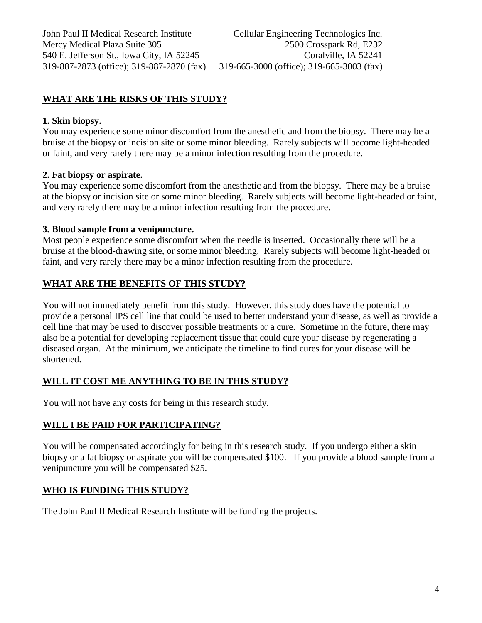## **WHAT ARE THE RISKS OF THIS STUDY?**

#### **1. Skin biopsy.**

You may experience some minor discomfort from the anesthetic and from the biopsy. There may be a bruise at the biopsy or incision site or some minor bleeding. Rarely subjects will become light-headed or faint, and very rarely there may be a minor infection resulting from the procedure.

### **2. Fat biopsy or aspirate.**

You may experience some discomfort from the anesthetic and from the biopsy. There may be a bruise at the biopsy or incision site or some minor bleeding. Rarely subjects will become light-headed or faint, and very rarely there may be a minor infection resulting from the procedure.

#### **3. Blood sample from a venipuncture.**

Most people experience some discomfort when the needle is inserted. Occasionally there will be a bruise at the blood-drawing site, or some minor bleeding. Rarely subjects will become light-headed or faint, and very rarely there may be a minor infection resulting from the procedure.

### **WHAT ARE THE BENEFITS OF THIS STUDY?**

You will not immediately benefit from this study. However, this study does have the potential to provide a personal IPS cell line that could be used to better understand your disease, as well as provide a cell line that may be used to discover possible treatments or a cure. Sometime in the future, there may also be a potential for developing replacement tissue that could cure your disease by regenerating a diseased organ. At the minimum, we anticipate the timeline to find cures for your disease will be shortened.

### **WILL IT COST ME ANYTHING TO BE IN THIS STUDY?**

You will not have any costs for being in this research study.

### **WILL I BE PAID FOR PARTICIPATING?**

You will be compensated accordingly for being in this research study. If you undergo either a skin biopsy or a fat biopsy or aspirate you will be compensated \$100. If you provide a blood sample from a venipuncture you will be compensated \$25.

### **WHO IS FUNDING THIS STUDY?**

The John Paul II Medical Research Institute will be funding the projects.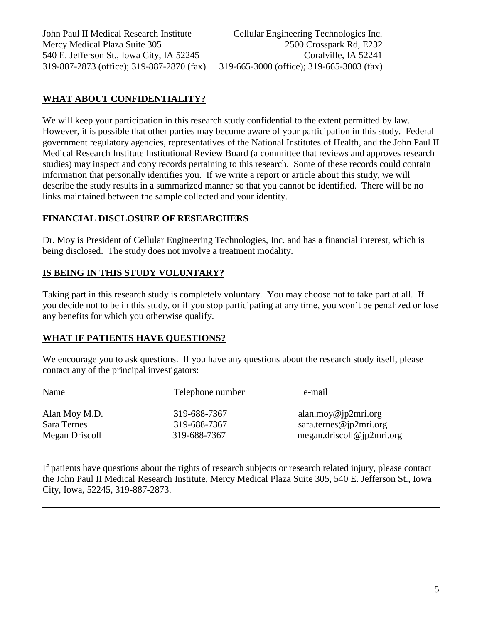# **WHAT ABOUT CONFIDENTIALITY?**

We will keep your participation in this research study confidential to the extent permitted by law. However, it is possible that other parties may become aware of your participation in this study. Federal government regulatory agencies, representatives of the National Institutes of Health, and the John Paul II Medical Research Institute Institutional Review Board (a committee that reviews and approves research studies) may inspect and copy records pertaining to this research. Some of these records could contain information that personally identifies you. If we write a report or article about this study, we will describe the study results in a summarized manner so that you cannot be identified. There will be no links maintained between the sample collected and your identity.

### **FINANCIAL DISCLOSURE OF RESEARCHERS**

Dr. Moy is President of Cellular Engineering Technologies, Inc. and has a financial interest, which is being disclosed. The study does not involve a treatment modality.

## **IS BEING IN THIS STUDY VOLUNTARY?**

Taking part in this research study is completely voluntary. You may choose not to take part at all. If you decide not to be in this study, or if you stop participating at any time, you won't be penalized or lose any benefits for which you otherwise qualify.

## **WHAT IF PATIENTS HAVE QUESTIONS?**

We encourage you to ask questions. If you have any questions about the research study itself, please contact any of the principal investigators:

| Name           | Telephone number | e-mail                    |
|----------------|------------------|---------------------------|
| Alan Moy M.D.  | 319-688-7367     | alan.moy@jp2mri.org       |
| Sara Ternes    | 319-688-7367     | sara.ternes@jp2mri.org    |
| Megan Driscoll | 319-688-7367     | megan.driscoll@jp2mri.org |

If patients have questions about the rights of research subjects or research related injury, please contact the John Paul II Medical Research Institute, Mercy Medical Plaza Suite 305, 540 E. Jefferson St., Iowa City, Iowa, 52245, 319-887-2873.